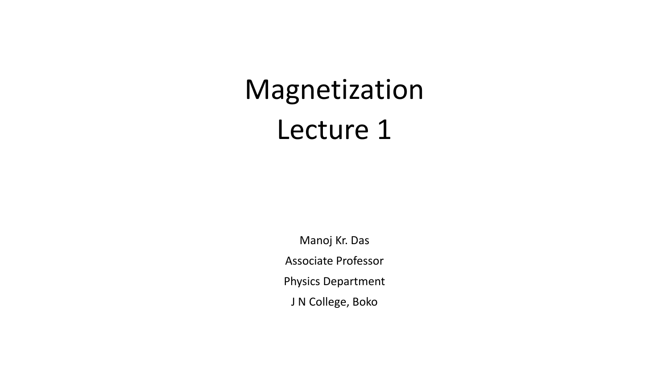# Magnetization Lecture 1

Manoj Kr. Das Associate Professor Physics Department J N College, Boko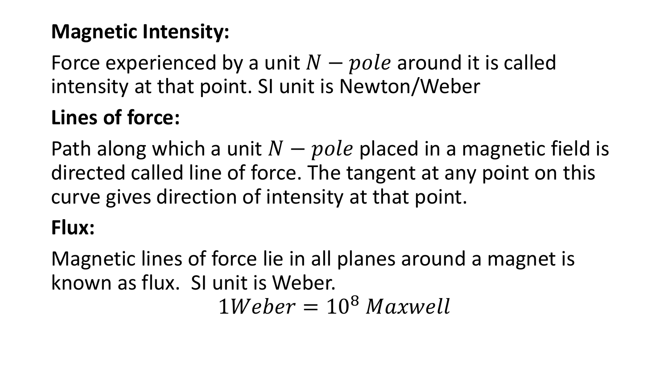# **Magnetic Intensity:**

Force experienced by a unit  $N - pole$  around it is called intensity at that point. SI unit is Newton/Weber

# **Lines of force:**

Path along which a unit  $N - pole$  placed in a magnetic field is directed called line of force. The tangent at any point on this curve gives direction of intensity at that point.

#### **Flux:**

Magnetic lines of force lie in all planes around a magnet is known as flux. SI unit is Weber.  $1 Weher = 10<sup>8</sup> Maxwell$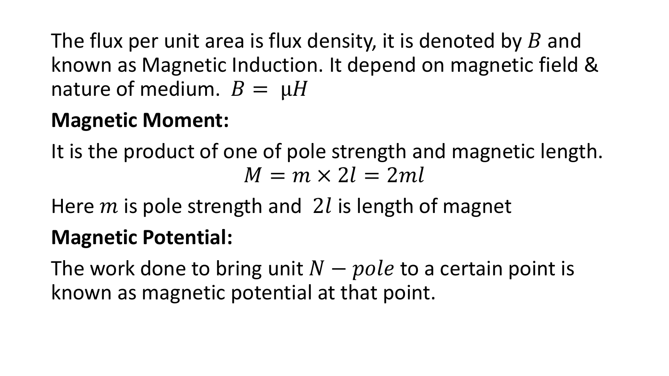The flux per unit area is flux density, it is denoted by  $B$  and known as Magnetic Induction. It depend on magnetic field & nature of medium.  $B = \mu H$ 

#### **Magnetic Moment:**

It is the product of one of pole strength and magnetic length.  $M = m \times 2l = 2ml$ 

Here  $m$  is pole strength and 2l is length of magnet

# **Magnetic Potential:**

The work done to bring unit  $N - pole$  to a certain point is known as magnetic potential at that point.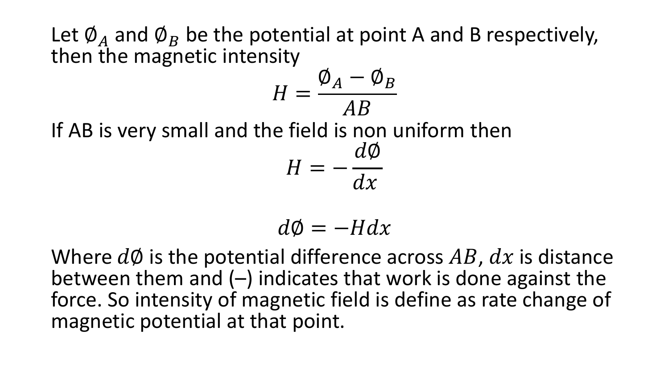Let  $\emptyset_A$  and  $\emptyset_B$  be the potential at point A and B respectively, then the magnetic intensity

$$
H = \frac{\phi_A - \phi_B}{AB}
$$

If AB is very small and the field is non uniform then

$$
H=-\frac{d\phi}{dx}
$$

$$
d\phi = -Hdx
$$

Where  $d\phi$  is the potential difference across AB,  $dx$  is distance between them and  $(-)$  indicates that work is done against the force. So intensity of magnetic field is define as rate change of magnetic potential at that point.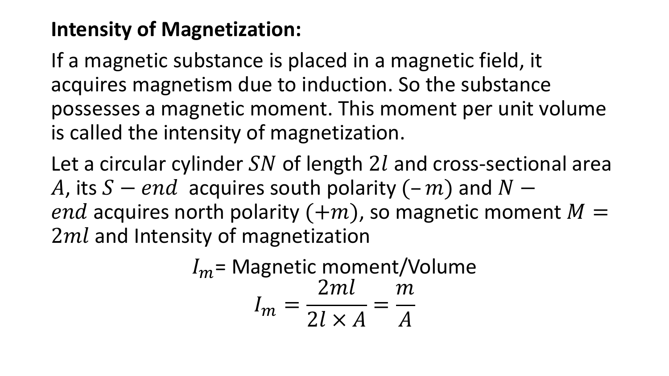# **Intensity of Magnetization:**

If a magnetic substance is placed in a magnetic field, it acquires magnetism due to induction. So the substance possesses a magnetic moment. This moment per unit volume is called the intensity of magnetization.

Let a circular cylinder  $SN$  of length  $2l$  and cross-sectional area A, its  $S - end$  acquires south polarity  $(-m)$  and  $N$ end acquires north polarity  $(+m)$ , so magnetic moment  $M =$  $2ml$  and Intensity of magnetization

$$
I_m = \text{Magnetic moment/Volume}
$$
  

$$
I_m = \frac{2ml}{2l \times A} = \frac{m}{A}
$$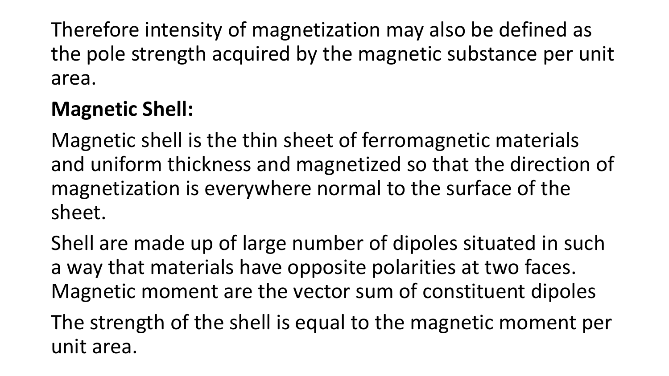Therefore intensity of magnetization may also be defined as the pole strength acquired by the magnetic substance per unit area.

# **Magnetic Shell:**

Magnetic shell is the thin sheet of ferromagnetic materials and uniform thickness and magnetized so that the direction of magnetization is everywhere normal to the surface of the sheet.

Shell are made up of large number of dipoles situated in such a way that materials have opposite polarities at two faces. Magnetic moment are the vector sum of constituent dipoles

The strength of the shell is equal to the magnetic moment per unit area.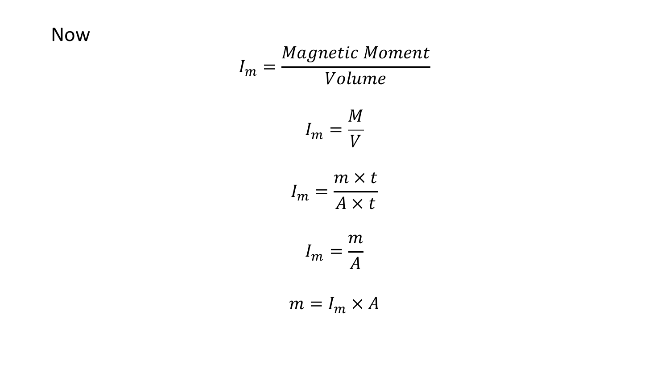#### **Now**

$$
I_m = \frac{Magnetic \; Moment}{Volume}
$$

$$
I_m = \frac{M}{V}
$$

$$
I_m = \frac{m \times t}{A \times t}
$$

$$
I_m = \frac{m}{A}
$$

$$
m = I_m \times A
$$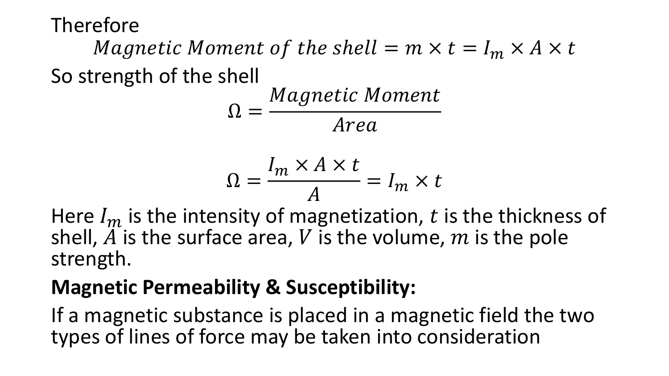Magnetic Moment of the shell  $= m \times t = I_m \times A \times t$ So strength of the shell

$$
\Omega = \frac{Magnetic\; Moment}{Area}
$$

$$
\Omega = \frac{I_m \times A \times t}{A} = I_m \times t
$$

Here  $I_m$  is the intensity of magnetization, t is the thickness of shell,  $\tilde{A}$  is the surface area, V is the volume,  $m$  is the pole strength.

# **Magnetic Permeability & Susceptibility:**

If a magnetic substance is placed in a magnetic field the two types of lines of force may be taken into consideration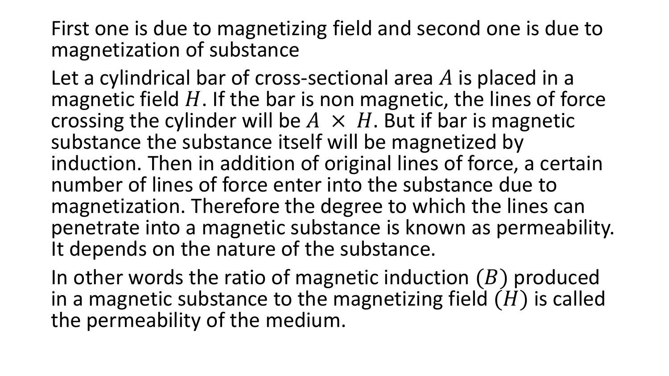First one is due to magnetizing field and second one is due to magnetization of substance

Let a cylindrical bar of cross-sectional area  $A$  is placed in a magnetic field  $H$ . If the bar is non magnetic, the lines of force crossing the cylinder will be  $A \times H$ . But if bar is magnetic substance the substance itself will be magnetized by induction. Then in addition of original lines of force, a certain number of lines of force enter into the substance due to magnetization. Therefore the degree to which the lines can penetrate into a magnetic substance is known as permeability. It depends on the nature of the substance.

In other words the ratio of magnetic induction  $(B)$  produced in a magnetic substance to the magnetizing field  $(H)$  is called the permeability of the medium.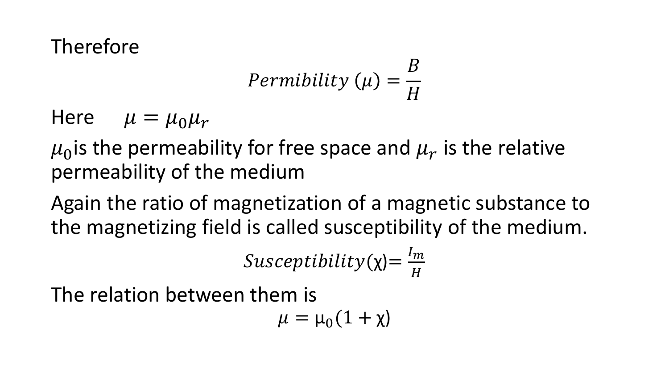$$
Permibility\ (\mu) = \frac{B}{H}
$$

Here  $\mu = \mu_0 \mu_r$ 

 $\mu_0$ is the permeability for free space and  $\mu_r$  is the relative permeability of the medium

Again the ratio of magnetization of a magnetic substance to the magnetizing field is called susceptibility of the medium.

> $Susceptibility(\chi)=$  $I_m$  $\boldsymbol{H}$

The relation between them is

$$
\mu=\mu_0(1+\chi)
$$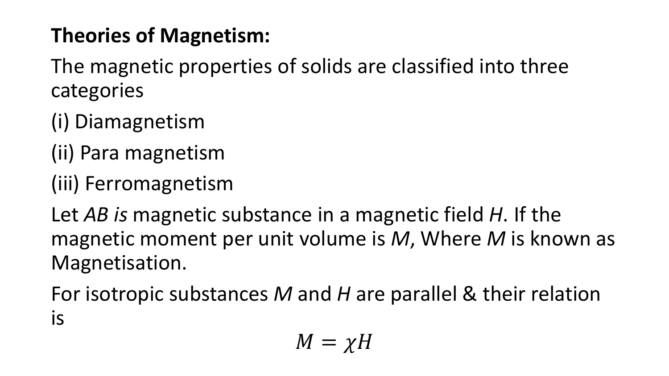# **Theories of Magnetism:**

The magnetic properties of solids are classified into three categories

- (i) Diamagnetism
- (ii) Para magnetism
- (iii) Ferromagnetism

Let *AB is* magnetic substance in a magnetic field *H*. If the magnetic moment per unit volume is *M*, Where *M* is known as Magnetisation.

For isotropic substances *M* and *H* are parallel & their relation is

$$
M=\chi H
$$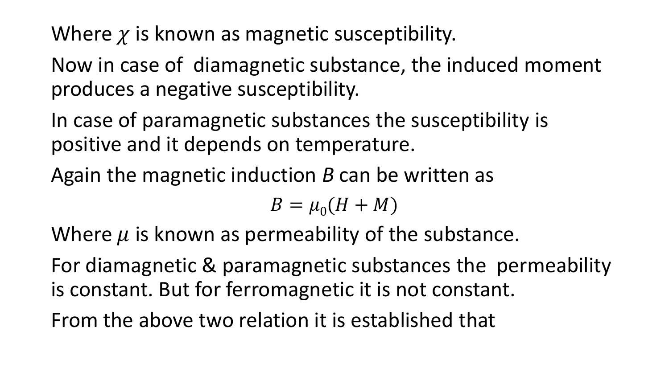Where  $\chi$  is known as magnetic susceptibility.

Now in case of diamagnetic substance, the induced moment produces a negative susceptibility.

In case of paramagnetic substances the susceptibility is positive and it depends on temperature.

Again the magnetic induction *B* can be written as

$$
B=\mu_0(H+M)
$$

Where  $\mu$  is known as permeability of the substance.

For diamagnetic & paramagnetic substances the permeability is constant. But for ferromagnetic it is not constant.

From the above two relation it is established that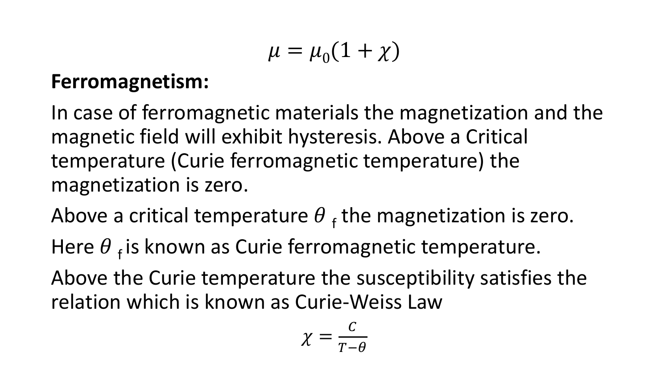$$
\mu = \mu_0(1+\chi)
$$

#### **Ferromagnetism:**

In case of ferromagnetic materials the magnetization and the magnetic field will exhibit hysteresis. Above a Critical temperature (Curie ferromagnetic temperature) the magnetization is zero.

Above a critical temperature  $\theta$  <sub>f</sub> the magnetization is zero.

Here  $\theta$   $_f$  is known as Curie ferromagnetic temperature.

Above the Curie temperature the susceptibility satisfies the relation which is known as Curie-Weiss Law

$$
\chi = \frac{c}{T - \theta}
$$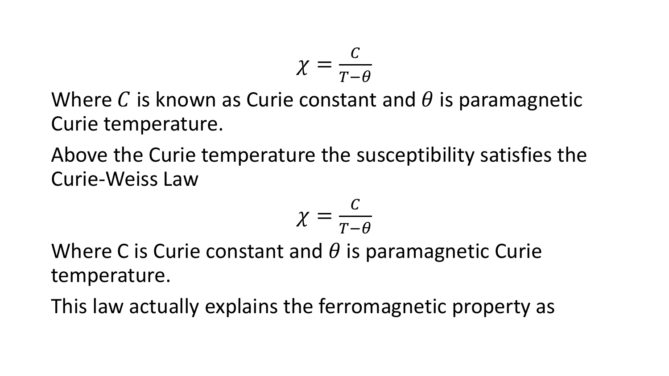$$
\chi=\frac{c}{T-\theta}
$$

Where C is known as Curie constant and  $\theta$  is paramagnetic Curie temperature.

Above the Curie temperature the susceptibility satisfies the Curie-Weiss Law

$$
\chi = \frac{c}{T-\theta}
$$

Where C is Curie constant and  $\theta$  is paramagnetic Curie temperature.

This law actually explains the ferromagnetic property as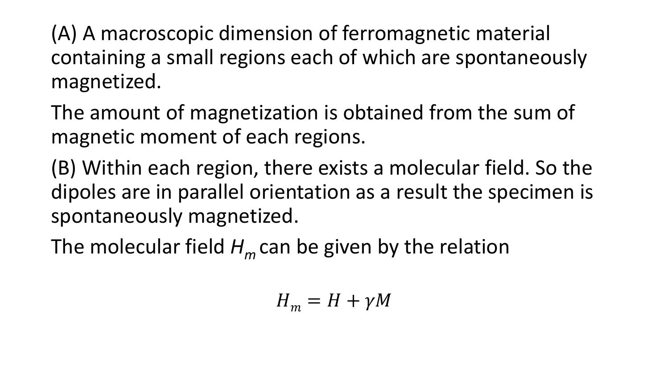(A) A macroscopic dimension of ferromagnetic material containing a small regions each of which are spontaneously magnetized.

The amount of magnetization is obtained from the sum of magnetic moment of each regions.

(B) Within each region, there exists a molecular field. So the dipoles are in parallel orientation as a result the specimen is spontaneously magnetized.

The molecular field *H<sup>m</sup>* can be given by the relation

$$
H_m = H + \gamma M
$$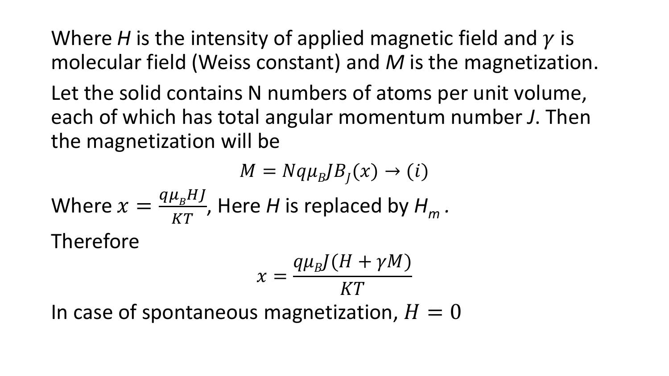Where *H* is the intensity of applied magnetic field and  $\gamma$  is molecular field (Weiss constant) and *M* is the magnetization.

Let the solid contains N numbers of atoms per unit volume, each of which has total angular momentum number *J*. Then the magnetization will be

$$
M = Nq\mu_B J B_J(x) \rightarrow (i)
$$
  
Where  $x = \frac{q\mu_B H J}{KT}$ , Here *H* is replaced by  $H_m$ .  
Therefore  

$$
x = \frac{q\mu_B J (H + \gamma M)}{KT}
$$

In case of spontaneous magnetization,  $H = 0$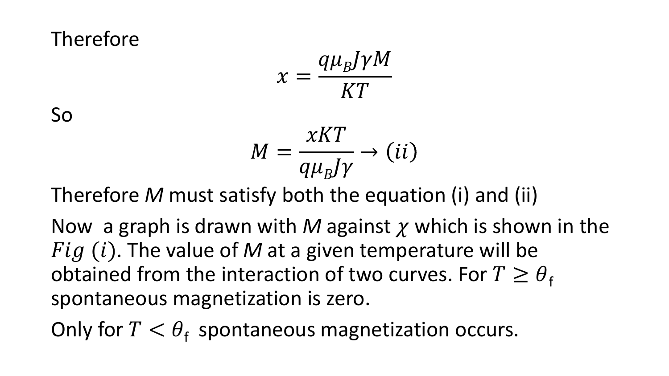$$
x = \frac{q\mu_B J \gamma M}{KT}
$$

So

$$
M = \frac{xKT}{q\mu_B J\gamma} \rightarrow (ii)
$$

Therefore *M* must satisfy both the equation (i) and (ii)

Now a graph is drawn with *M* against  $\chi$  which is shown in the  $Fig (i).$  The value of M at a given temperature will be obtained from the interaction of two curves. For  $T \geq \theta_f$ spontaneous magnetization is zero.

Only for  $T < \theta_f$  spontaneous magnetization occurs.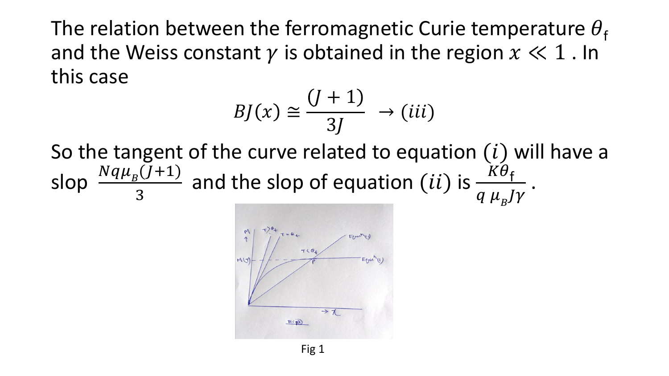The relation between the ferromagnetic Curie temperature  $\theta_{\rm f}$ and the Weiss constant  $\gamma$  is obtained in the region  $x \ll 1$ . In this case

$$
BJ(x) \cong \frac{(J+1)}{3J} \rightarrow (iii)
$$

So the tangent of the curve related to equation  $(i)$  will have a slop  $\frac{Nq\mu_{B}(J+1)}{2}$ 3 and the slop of equation  $(ii)$  is  $\frac{K\theta_f}{\sigma H}$  $q \mu_{B} J \gamma$ .

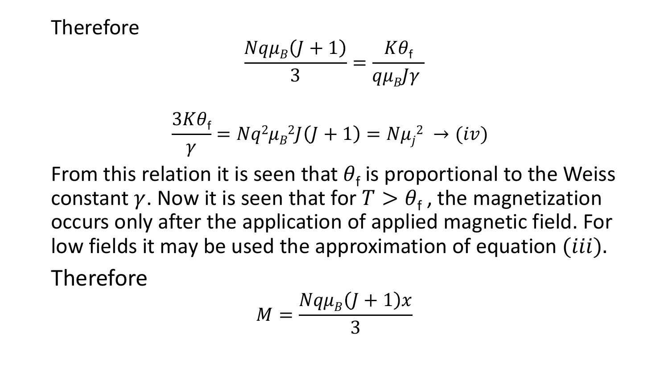$$
\frac{Nq\mu_B(J+1)}{3} = \frac{K\theta_f}{q\mu_BJ\gamma}
$$

$$
\frac{3K\theta_{\rm f}}{\gamma} = Nq^2\mu_{\rm B}^2 J(J+1) = N\mu_{\rm j}^2 \to (iv)
$$

From this relation it is seen that  $\theta_f$  is proportional to the Weiss constant  $\gamma$ . Now it is seen that for  $T > \theta_f$ , the magnetization occurs only after the application of applied magnetic field. For low fields it may be used the approximation of equation  $(iii)$ . Therefore

$$
M=\frac{Nq\mu_B(J+1)x}{3}
$$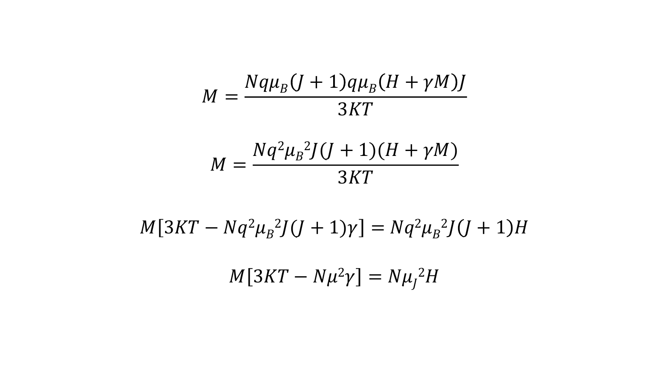$$
M = \frac{Nq\mu_B(J+1)q\mu_B(H+\gamma M)J}{3KT}
$$

$$
M = \frac{Nq^2\mu_B^2J(J+1)(H+\gamma M)}{3KT}
$$

$$
M[3KT - Nq^2\mu_B{}^2J(J+1)\gamma] = Nq^2\mu_B{}^2J(J+1)H
$$

$$
M[3KT - N\mu^2\gamma] = N\mu_j^2H
$$